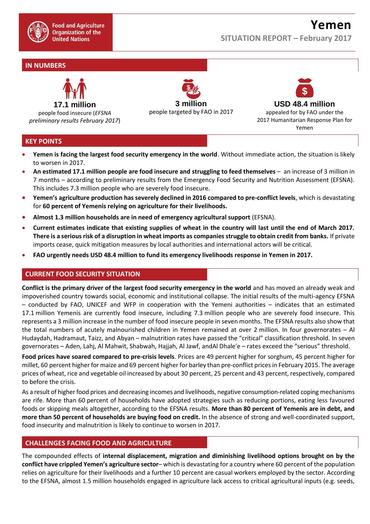

# **SITUATION REPORT – February 2017**

# **IN NUMBERS**



people food insecure (*EFSNA preliminary results February 2017*)

**3 million** people targeted by FAO in 2017



**Yemen**

### **KEY POINTS**

- **Yemen is facing the largest food security emergency in the world**. Without immediate action, the situation is likely to worsen in 2017.
- **An estimated 17.1 million people are food insecure and struggling to feed themselves** an increase of 3 million in 7 months – according to preliminary results from the Emergency Food Security and Nutrition Assessment (EFSNA). This includes 7.3 million people who are severely food insecure.
- **Yemen's agriculture production has severely declined in 2016 compared to pre-conflict levels**, which is devastating for **60 percent of Yemenis relying on agriculture for their livelihoods.**
- **Almost 1.3 million households are in need of emergency agricultural support** (EFSNA).
- **Current estimates indicate that existing supplies of wheat in the country will last until the end of March 2017. There is a serious risk of a disruption in wheat imports as companies struggle to obtain credit from banks.** If private imports cease, quick mitigation measures by local authorities and international actors will be critical.
- **FAO urgently needs USD 48.4 million to fund its emergency livelihoods response in Yemen in 2017.**

### **CURRENT FOOD SECURITY SITUATION**

**Conflict is the primary driver of the largest food security emergency in the world** and has moved an already weak and impoverished country towards social, economic and institutional collapse. The initial results of the multi-agency EFSNA – conducted by FAO, UNICEF and WFP in cooperation with the Yemeni authorities – indicates that an estimated 17.1 million Yemenis are currently food insecure, including 7.3 million people who are severely food insecure. This represents a 3 million increase in the number of food insecure people in seven months. The EFSNA results also show that the total numbers of acutely malnourished children in Yemen remained at over 2 million. In four governorates – Al Hudaydah, Hadramaut, Taizz, and Abyan – malnutrition rates have passed the "critical" classification threshold. In seven governorates – Aden, Lahj, Al Mahwit, Shabwah, Hajjah, Al Jawf, andAl Dhale'e – rates exceed the "serious" threshold.

**Food prices have soared compared to pre-crisis levels**. Prices are 49 percent higher for sorghum, 45 percent higher for millet, 60 percent higher for maize and 69 percent higher for barley than pre-conflict prices in February 2015. The average prices of wheat, rice and vegetable oil increased by about 30 percent, 25 percent and 43 percent, respectively, compared to before the crisis.

As a result of higher food prices and decreasing incomes and livelihoods, negative consumption-related coping mechanisms are rife. More than 60 percent of households have adopted strategies such as reducing portions, eating less favoured foods or skipping meals altogether, according to the EFSNA results. **More than 80 percent of Yemenis are in debt, and more than 50 percent of households are buying food on credit.** In the absence of strong and well-coordinated support, food insecurity and malnutrition is likely to continue to worsen in 2017.

#### **CHALLENGES FACING FOOD AND AGRICULTURE**

The compounded effects of **internal displacement, migration and diminishing livelihood options brought on by the conflict have crippled Yemen's agriculture sector**– which is devastating for a country where 60 percent of the population relies on agriculture for their livelihoods and a further 10 percent are casual workers employed by the sector. According to the EFSNA, almost 1.5 million households engaged in agriculture lack access to critical agricultural inputs (e.g. seeds,